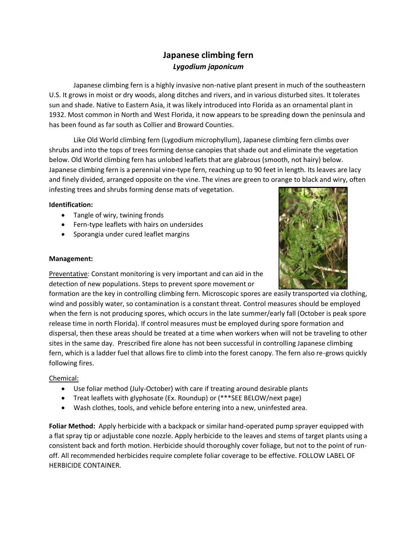## **Japanese climbing fern** *Lygodium japonicum*

Japanese climbing fern is a highly invasive non-native plant present in much of the southeastern U.S. It grows in moist or dry woods, along ditches and rivers, and in various disturbed sites. It tolerates sun and shade. Native to Eastern Asia, it was likely introduced into Florida as an ornamental plant in 1932. Most common in North and West Florida, it now appears to be spreading down the peninsula and has been found as far south as Collier and Broward Counties.

Like Old World climbing fern (Lygodium microphyllum), Japanese climbing fern climbs over shrubs and into the tops of trees forming dense canopies that shade out and eliminate the vegetation below. Old World climbing fern has unlobed leaflets that are glabrous (smooth, not hairy) below. Japanese climbing fern is a perennial vine-type fern, reaching up to 90 feet in length. Its leaves are lacy and finely divided, arranged opposite on the vine. The vines are green to orange to black and wiry, often infesting trees and shrubs forming dense mats of vegetation.

## **Identification:**

- Tangle of wiry, twining fronds
- Fern-type leaflets with hairs on undersides
- Sporangia under cured leaflet margins



## **Management:**

Preventative: Constant monitoring is very important and can aid in the detection of new populations. Steps to prevent spore movement or

formation are the key in controlling climbing fern. Microscopic spores are easily transported via clothing, wind and possibly water, so contamination is a constant threat. Control measures should be employed when the fern is not producing spores, which occurs in the late summer/early fall (October is peak spore release time in north Florida). If control measures must be employed during spore formation and dispersal, then these areas should be treated at a time when workers when will not be traveling to other sites in the same day. Prescribed fire alone has not been successful in controlling Japanese climbing fern, which is a ladder fuel that allows fire to climb into the forest canopy. The fern also re-grows quickly following fires.

## Chemical:

- Use foliar method (July-October) with care if treating around desirable plants
- Treat leaflets with glyphosate (Ex. Roundup) or (\*\*\*SEE BELOW/next page)
- Wash clothes, tools, and vehicle before entering into a new, uninfested area.

**Foliar Method:** Apply herbicide with a backpack or similar hand-operated pump sprayer equipped with a flat spray tip or adjustable cone nozzle. Apply herbicide to the leaves and stems of target plants using a consistent back and forth motion. Herbicide should thoroughly cover foliage, but not to the point of runoff. All recommended herbicides require complete foliar coverage to be effective. FOLLOW LABEL OF HERBICIDE CONTAINER.